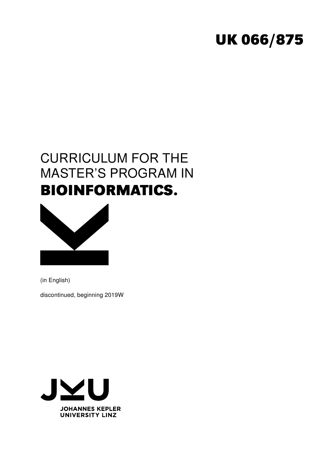# **UK 066/875**

# CURRICULUM FOR THE MASTER'S PROGRAM IN **BIOINFORMATICS.**



(in English)

discontinued, beginning 2019W

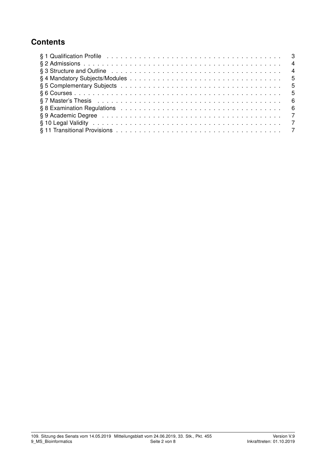## **Contents**

| § 3 Structure and Outline enterpreteration of the contract of the contract of the contract of the structure of the structure of the structure of the structure of the structure of the structure of the structure of the struc |  |
|--------------------------------------------------------------------------------------------------------------------------------------------------------------------------------------------------------------------------------|--|
|                                                                                                                                                                                                                                |  |
|                                                                                                                                                                                                                                |  |
|                                                                                                                                                                                                                                |  |
|                                                                                                                                                                                                                                |  |
|                                                                                                                                                                                                                                |  |
|                                                                                                                                                                                                                                |  |
|                                                                                                                                                                                                                                |  |
|                                                                                                                                                                                                                                |  |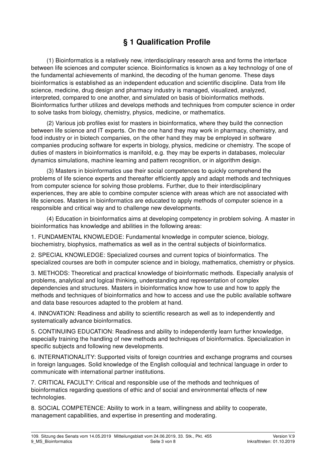# § 1 Qualification Profile

(1) Bioinformatics is a relatively new, interdisciplinary research area and forms the interface between life sciences and computer science. Bioinformatics is known as a key technology of one of the fundamental achievements of mankind, the decoding of the human genome. These days bioinformatics is established as an independent education and scientific discipline. Data from life science, medicine, drug design and pharmacy industry is managed, visualized, analyzed, interpreted, compared to one another, and simulated on basis of bioinformatics methods. Bioinformatics further utilizes and develops methods and techniques from computer science in order to solve tasks from biology, chemistry, physics, medicine, or mathematics.

(2) Various job profiles exist for masters in bioinformatics, where they build the connection between life science and IT experts. On the one hand they may work in pharmacy, chemistry, and food industry or in biotech companies, on the other hand they may be employed in software companies producing software for experts in biology, physics, medicine or chemistry. The scope of duties of masters in bioinformatics is manifold, e.g. they may be experts in databases, molecular dynamics simulations, machine learning and pattern recognition, or in algorithm design.

(3) Masters in bioinformatics use their social competences to quickly comprehend the problems of life science experts and thereafter efficiently apply and adapt methods and techniques from computer science for solving those problems. Further, due to their interdisciplinary experiences, they are able to combine computer science with areas which are not associated with life sciences. Masters in bioinformatics are educated to apply methods of computer science in a responsible and critical way and to challenge new developments.

(4) Education in bioinformatics aims at developing competency in problem solving. A master in bioinformatics has knowledge and abilities in the following areas:

1. FUNDAMENTAL KNOWLEDGE: Fundamental knowledge in computer science, biology, biochemistry, biophysics, mathematics as well as in the central subjects of bioinformatics.

2. SPECIAL KNOWLEDGE: Specialized courses and current topics of bioinformatics. The specialized courses are both in computer science and in biology, mathematics, chemistry or physics.

3. METHODS: Theoretical and practical knowledge of bioinformatic methods. Especially analysis of problems, analytical and logical thinking, understanding and representation of complex dependencies and structures. Masters in bioinformatics know how to use and how to apply the methods and techniques of bioinformatics and how to access and use the public available software and data base resources adapted to the problem at hand.

4. INNOVATION: Readiness and ability to scientific research as well as to independently and systematically advance bioinformatics.

5. CONTINUING EDUCATION: Readiness and ability to independently learn further knowledge, especially training the handling of new methods and techniques of bioinformatics. Specialization in specific subjects and following new developments.

6. INTERNATIONALITY: Supported visits of foreign countries and exchange programs and courses in foreign languages. Solid knowledge of the English colloquial and technical language in order to communicate with international partner institutions.

7. CRITICAL FACULTY: Critical and responsible use of the methods and techniques of bioinformatics regarding questions of ethic and of social and environmental effects of new technologies.

8. SOCIAL COMPETENCE: Ability to work in a team, willingness and ability to cooperate, management capabilities, and expertise in presenting and moderating.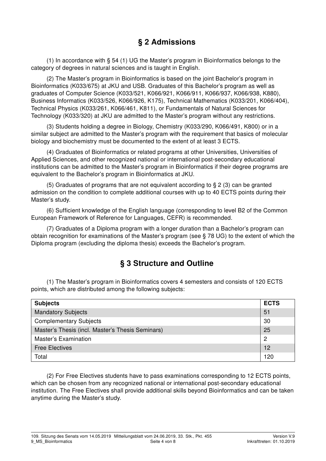#### § 2 Admissions

(1) In accordance with § 54 (1) UG the Master's program in Bioinformatics belongs to the category of degrees in natural sciences and is taught in English.

(2) The Master's program in Bioinformatics is based on the joint Bachelor's program in Bioinformatics (K033/675) at JKU and USB. Graduates of this Bachelor's program as well as graduates of Computer Science (K033/521, K066/921, K066/911, K066/937, K066/938, K880), Business Informatics (K033/526, K066/926, K175), Technical Mathematics (K033/201, K066/404), Technical Physics (K033/261, K066/461, K811), or Fundamentals of Natural Sciences for Technology (K033/320) at JKU are admitted to the Master's program without any restrictions.

(3) Students holding a degree in Biology, Chemistry (K033/290, K066/491, K800) or in a similar subject are admitted to the Master's program with the requirement that basics of molecular biology and biochemistry must be documented to the extent of at least 3 ECTS.

(4) Graduates of Bioinformatics or related programs at other Universities, Universities of Applied Sciences, and other recognized national or international post-secondary educational institutions can be admitted to the Master's program in Bioinformatics if their degree programs are equivalent to the Bachelor's program in Bioinformatics at JKU.

(5) Graduates of programs that are not equivalent according to § 2 (3) can be granted admission on the condition to complete additional courses with up to 40 ECTS points during their Master's study.

(6) Sufficient knowledge of the English language (corresponding to level B2 of the Common European Framework of Reference for Languages, CEFR) is recommended.

(7) Graduates of a Diploma program with a longer duration than a Bachelor's program can obtain recognition for examinations of the Master's program (see § 78 UG) to the extent of which the Diploma program (excluding the diploma thesis) exceeds the Bachelor's program.

#### § 3 Structure and Outline

(1) The Master's program in Bioinformatics covers 4 semesters and consists of 120 ECTS points, which are distributed among the following subjects:

| <b>Subjects</b>                                  | <b>ECTS</b> |
|--------------------------------------------------|-------------|
| Mandatory Subjects                               | 51          |
| <b>Complementary Subjects</b>                    | 30          |
| Master's Thesis (incl. Master's Thesis Seminars) | 25          |
| <b>Master's Examination</b>                      | 2           |
| <b>Free Electives</b>                            | 12          |
| Total                                            | 120         |

(2) For Free Electives students have to pass examinations corresponding to 12 ECTS points, which can be chosen from any recognized national or international post-secondary educational institution. The Free Electives shall provide additional skills beyond Bioinformatics and can be taken anytime during the Master's study.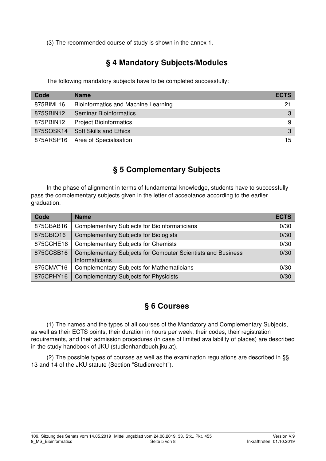(3) The recommended course of study is shown in the annex 1.

# § 4 Mandatory Subjects/Modules

The following mandatory subjects have to be completed successfully:

| Code      | <b>Name</b>                                | <b>ECTS</b>     |
|-----------|--------------------------------------------|-----------------|
| 875BIML16 | <b>Bioinformatics and Machine Learning</b> | 21 <sub>1</sub> |
| 875SBIN12 | <b>Seminar Bioinformatics</b>              | $\mathbf{3}$    |
| 875PBIN12 | <b>Project Bioinformatics</b>              | 9               |
| 875SOSK14 | <b>Soft Skills and Ethics</b>              | $\mathcal{S}$   |
| 875ARSP16 | Area of Specialisation                     | 15              |

## § 5 Complementary Subjects

In the phase of alignment in terms of fundamental knowledge, students have to successfully pass the complementary subjects given in the letter of acceptance according to the earlier graduation.

| Code      | <b>Name</b>                                                                          | <b>ECTS</b> |
|-----------|--------------------------------------------------------------------------------------|-------------|
| 875CBAB16 | <b>Complementary Subjects for Bioinformaticians</b>                                  | 0/30        |
| 875CBIO16 | <b>Complementary Subjects for Biologists</b>                                         | 0/30        |
| 875CCHE16 | <b>Complementary Subjects for Chemists</b>                                           | 0/30        |
| 875CCSB16 | <b>Complementary Subjects for Computer Scientists and Business</b><br>Informaticians | 0/30        |
| 875CMAT16 | <b>Complementary Subjects for Mathematicians</b>                                     | 0/30        |
| 875CPHY16 | <b>Complementary Subjects for Physicists</b>                                         | 0/30        |

#### § 6 Courses

(1) The names and the types of all courses of the Mandatory and Complementary Subjects, as well as their ECTS points, their duration in hours per week, their codes, their registration requirements, and their admission procedures (in case of limited availability of places) are described in the study handbook of JKU (studienhandbuch.jku.at).

(2) The possible types of courses as well as the examination regulations are described in §§ 13 and 14 of the JKU statute (Section "Studienrecht").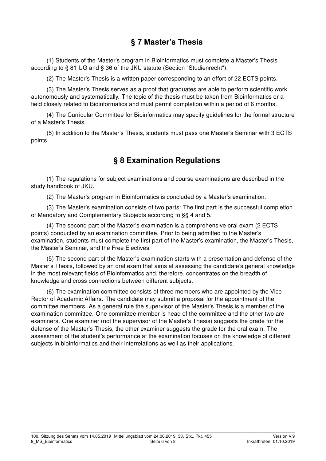#### § 7 Master's Thesis

(1) Students of the Master's program in Bioinformatics must complete a Master's Thesis according to § 81 UG and § 36 of the JKU statute (Section "Studienrecht").

(2) The Master's Thesis is a written paper corresponding to an effort of 22 ECTS points.

(3) The Master's Thesis serves as a proof that graduates are able to perform scientific work autonomously and systematically. The topic of the thesis must be taken from Bioinformatics or a field closely related to Bioinformatics and must permit completion within a period of 6 months.

(4) The Curricular Committee for Bioinformatics may specify guidelines for the formal structure of a Master's Thesis.

(5) In addition to the Master's Thesis, students must pass one Master's Seminar with 3 ECTS points.

#### § 8 Examination Regulations

(1) The regulations for subject examinations and course examinations are described in the study handbook of JKU.

(2) The Master's program in Bioinformatics is concluded by a Master's examination.

(3) The Master's examination consists of two parts: The first part is the successful completion of Mandatory and Complementary Subjects according to §§ 4 and 5.

(4) The second part of the Master's examination is a comprehensive oral exam (2 ECTS points) conducted by an examination committee. Prior to being admitted to the Master's examination, students must complete the first part of the Master's examination, the Master's Thesis, the Master's Seminar, and the Free Electives.

(5) The second part of the Master's examination starts with a presentation and defense of the Master's Thesis, followed by an oral exam that aims at assessing the candidate's general knowledge in the most relevant fields of Bioinformatics and, therefore, concentrates on the breadth of knowledge and cross connections between different subjects.

(6) The examination committee consists of three members who are appointed by the Vice Rector of Academic Affairs. The candidate may submit a proposal for the appointment of the committee members. As a general rule the supervisor of the Master's Thesis is a member of the examination committee. One committee member is head of the committee and the other two are examiners. One examiner (not the supervisor of the Master's Thesis) suggests the grade for the defense of the Master's Thesis, the other examiner suggests the grade for the oral exam. The assessment of the student's performance at the examination focuses on the knowledge of different subjects in bioinformatics and their interrelations as well as their applications.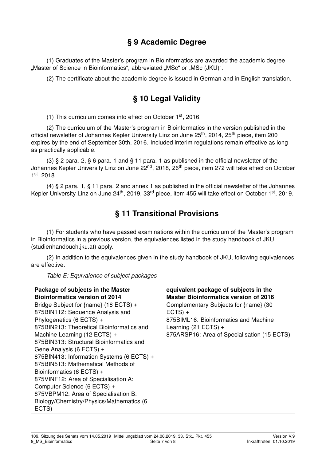#### § 9 Academic Degree

(1) Graduates of the Master's program in Bioinformatics are awarded the academic degree "Master of Science in Bioinformatics", abbreviated "MSc" or "MSc (JKU)".

(2) The certificate about the academic degree is issued in German and in English translation.

### § 10 Legal Validity

(1) This curriculum comes into effect on October 1st, 2016.

(2) The curriculum of the Master's program in Bioinformatics in the version published in the official newsletter of Johannes Kepler University Linz on June 25<sup>th</sup>, 2014, 25<sup>th</sup> piece, item 200 expires by the end of September 30th, 2016. Included interim regulations remain effective as long as practically applicable.

(3) § 2 para. 2, § 6 para. 1 and § 11 para. 1 as published in the official newsletter of the Johannes Kepler University Linz on June 22<sup>nd</sup>, 2018, 26<sup>th</sup> piece, item 272 will take effect on October 1 st, 2018.

(4) § 2 para. 1, § 11 para. 2 and annex 1 as published in the official newsletter of the Johannes Kepler University Linz on June 24<sup>th</sup>, 2019, 33<sup>rd</sup> piece, item 455 will take effect on October 1<sup>st</sup>, 2019.

#### § 11 Transitional Provisions

(1) For students who have passed examinations within the curriculum of the Master's program in Bioinformatics in a previous version, the equivalences listed in the study handbook of JKU (studienhandbuch.jku.at) apply.

(2) In addition to the equivalences given in the study handbook of JKU, following equivalences are effective:

Table E: Equivalence of subject packages

| Package of subjects in the Master                                                                                                                                                                                                                                                                                                                                                                                                                                                                                                              | equivalent package of subjects in the                                                                                                                                |
|------------------------------------------------------------------------------------------------------------------------------------------------------------------------------------------------------------------------------------------------------------------------------------------------------------------------------------------------------------------------------------------------------------------------------------------------------------------------------------------------------------------------------------------------|----------------------------------------------------------------------------------------------------------------------------------------------------------------------|
| <b>Bioinformatics version of 2014</b>                                                                                                                                                                                                                                                                                                                                                                                                                                                                                                          | <b>Master Bioinformatics version of 2016</b>                                                                                                                         |
| Bridge Subject for {name} (18 ECTS) +<br>875BIN112: Sequence Analysis and<br>Phylogenetics (6 ECTS) +<br>875BIN213: Theoretical Bioinformatics and<br>Machine Learning (12 ECTS) +<br>875BIN313: Structural Bioinformatics and<br>Gene Analysis (6 ECTS) +<br>875BIN413: Information Systems (6 ECTS) +<br>875BIN513: Mathematical Methods of<br>Bioinformatics (6 ECTS) +<br>875VINF12: Area of Specialisation A:<br>Computer Science (6 ECTS) +<br>875VBPM12: Area of Specialisation B:<br>Biology/Chemistry/Physics/Mathematics (6<br>ECTS) | Complementary Subjects for {name} (30<br>$ECTS) +$<br>875BIML16: Bioinformatics and Machine<br>Learning $(21$ ECTS) +<br>875ARSP16: Area of Specialisation (15 ECTS) |